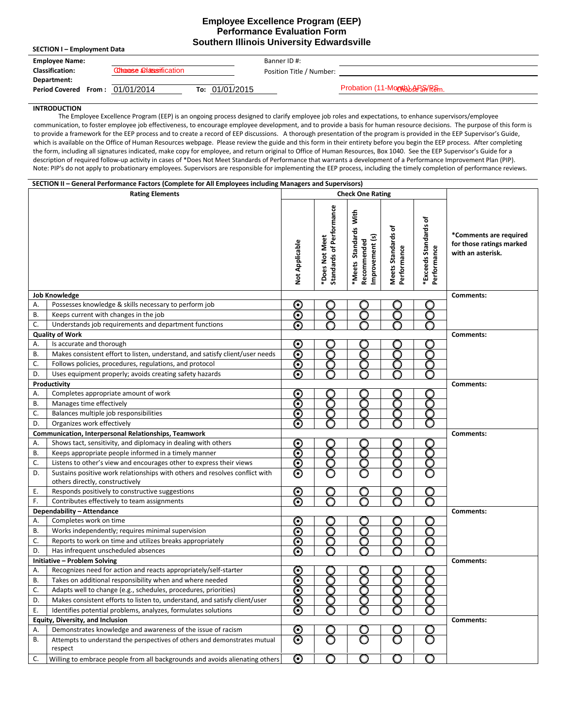## **Employee Excellence Program (EEP) Performance Evaluation Form Southern Illinois University Edwardsville**

| <b>SECTION I – Employment Data</b> |                                  |                |                          |                               |  |  |  |
|------------------------------------|----------------------------------|----------------|--------------------------|-------------------------------|--|--|--|
| <b>Employee Name:</b>              |                                  |                | Banner ID #:             |                               |  |  |  |
| <b>Classification:</b>             | <b>Chronose Colatestrication</b> |                | Position Title / Number: |                               |  |  |  |
| Department:                        |                                  |                |                          |                               |  |  |  |
| Period Covered From: 01/01/2014    |                                  | To: 01/01/2015 |                          | Probation (11-Montoberal Rem. |  |  |  |

## **INTRODUCTION**

The Employee Excellence Program (EEP) is an ongoing process designed to clarify employee job roles and expectations, to enhance supervisors/employee communication, to foster employee job effectiveness, to encourage employee development, and to provide a basis for human resource decisions. The purpose of this form is to provide a framework for the EEP process and to create a record of EEP discussions. A thorough presentation of the program is provided in the EEP Supervisor's Guide, which is available on the Office of Human Resources webpage. Please review the guide and this form in their entirety before you begin the EEP process. After completing the form, including all signatures indicated, make copy for employee, and return original to Office of Human Resources, Box 1040. See the EEP Supervisor's Guide for a description of required follow-up activity in cases of \*Does Not Meet Standards of Performance that warrants a development of a Performance Improvement Plan (PIP). Note: PIP's do not apply to probationary employees. Supervisors are responsible for implementing the EEP process, including the timely completion of performance reviews.

|                                  | SECTION II - General Performance Factors (Complete for All Employees including Managers and Supervisors)       |                         |                                            |                                                         |                                   |                                      |                                                                         |
|----------------------------------|----------------------------------------------------------------------------------------------------------------|-------------------------|--------------------------------------------|---------------------------------------------------------|-----------------------------------|--------------------------------------|-------------------------------------------------------------------------|
| <b>Rating Elements</b>           |                                                                                                                | <b>Check One Rating</b> |                                            |                                                         |                                   |                                      |                                                                         |
|                                  |                                                                                                                | Not Applicable          | Standards of Performance<br>*Does Not Meet | *Meets Standards With<br>Improvement (s)<br>Recommended | Meets Standards of<br>Performance | *Exceeds Standards of<br>Performance | *Comments are required<br>for those ratings marked<br>with an asterisk. |
|                                  | <b>Job Knowledge</b>                                                                                           |                         |                                            |                                                         |                                   |                                      | Comments:                                                               |
| Α.                               | Possesses knowledge & skills necessary to perform job                                                          | O                       |                                            |                                                         |                                   |                                      |                                                                         |
| <b>B.</b>                        | Keeps current with changes in the job                                                                          | Θ                       | С                                          | n                                                       |                                   |                                      |                                                                         |
| C.                               | Understands job requirements and department functions                                                          | $\odot$                 |                                            |                                                         |                                   |                                      |                                                                         |
|                                  | <b>Quality of Work</b>                                                                                         |                         |                                            |                                                         |                                   |                                      | Comments:                                                               |
| Α.                               | Is accurate and thorough                                                                                       | O                       |                                            |                                                         |                                   |                                      |                                                                         |
| В.                               | Makes consistent effort to listen, understand, and satisfy client/user needs                                   | $\boldsymbol{\odot}$    | n                                          |                                                         |                                   |                                      |                                                                         |
| C.                               | Follows policies, procedures, regulations, and protocol                                                        | ⊙                       | С                                          | O                                                       |                                   | □                                    |                                                                         |
| D.                               | Uses equipment properly; avoids creating safety hazards                                                        | ര                       |                                            |                                                         |                                   |                                      |                                                                         |
|                                  | Productivity                                                                                                   |                         |                                            |                                                         |                                   |                                      | Comments:                                                               |
| Α.                               | Completes appropriate amount of work                                                                           | O                       |                                            |                                                         |                                   |                                      |                                                                         |
| В.                               | Manages time effectively                                                                                       | ⊙                       |                                            |                                                         |                                   |                                      |                                                                         |
| C.                               | Balances multiple job responsibilities                                                                         | ⊙                       |                                            |                                                         |                                   |                                      |                                                                         |
| D.                               | Organizes work effectively                                                                                     | Ō                       |                                            |                                                         |                                   |                                      |                                                                         |
|                                  | Communication, Interpersonal Relationships, Teamwork                                                           |                         |                                            |                                                         |                                   |                                      | Comments:                                                               |
| А.                               | Shows tact, sensitivity, and diplomacy in dealing with others                                                  | <u>၉</u>                |                                            |                                                         |                                   |                                      |                                                                         |
| В.                               | Keeps appropriate people informed in a timely manner                                                           |                         |                                            |                                                         |                                   |                                      |                                                                         |
| C.                               | Listens to other's view and encourages other to express their views                                            | $\odot\$                |                                            |                                                         |                                   |                                      |                                                                         |
| D.                               | Sustains positive work relationships with others and resolves conflict with<br>others directly, constructively |                         |                                            |                                                         |                                   |                                      |                                                                         |
| Ε.                               | Responds positively to constructive suggestions                                                                | $\bm{\odot}$            | С                                          | O                                                       |                                   |                                      |                                                                         |
| F.                               | Contributes effectively to team assignments                                                                    | $\overline{\odot}$      |                                            |                                                         |                                   |                                      |                                                                         |
|                                  | Dependability - Attendance                                                                                     |                         |                                            |                                                         |                                   |                                      | Comments:                                                               |
| Α.                               | Completes work on time                                                                                         | O                       |                                            |                                                         |                                   | U                                    |                                                                         |
| В.                               | Works independently; requires minimal supervision                                                              | ⊙                       | O                                          | O                                                       | ∩                                 | O                                    |                                                                         |
| C.                               | Reports to work on time and utilizes breaks appropriately                                                      | $\bm{\odot}$            | O                                          | O                                                       | ∩                                 | O                                    |                                                                         |
| D.                               | Has infrequent unscheduled absences                                                                            | $\odot$                 |                                            |                                                         |                                   |                                      |                                                                         |
|                                  | Initiative - Problem Solving                                                                                   |                         |                                            |                                                         |                                   |                                      | Comments:                                                               |
| А.                               | Recognizes need for action and reacts appropriately/self-starter                                               | O                       |                                            |                                                         |                                   |                                      |                                                                         |
| В.                               | Takes on additional responsibility when and where needed                                                       | ⊙                       |                                            |                                                         |                                   |                                      |                                                                         |
| C.                               | Adapts well to change (e.g., schedules, procedures, priorities)                                                | റ                       |                                            |                                                         |                                   |                                      |                                                                         |
| D.                               | Makes consistent efforts to listen to, understand, and satisfy client/user                                     | ⊙                       |                                            |                                                         |                                   |                                      |                                                                         |
| Ε.                               | Identifies potential problems, analyzes, formulates solutions                                                  |                         |                                            |                                                         |                                   |                                      |                                                                         |
| Equity, Diversity, and Inclusion |                                                                                                                |                         |                                            |                                                         |                                   |                                      | Comments:                                                               |
| Α.                               | Demonstrates knowledge and awareness of the issue of racism                                                    | $\bm{\odot}$            |                                            | U                                                       |                                   |                                      |                                                                         |
| В.                               | Attempts to understand the perspectives of others and demonstrates mutual<br>respect                           | $\boldsymbol{\odot}$    |                                            | O                                                       |                                   | O                                    |                                                                         |
| C.                               | Willing to embrace people from all backgrounds and avoids alienating others                                    | $\boldsymbol{\odot}$    | O                                          | O                                                       | O                                 | O                                    |                                                                         |
|                                  |                                                                                                                |                         |                                            |                                                         |                                   |                                      |                                                                         |